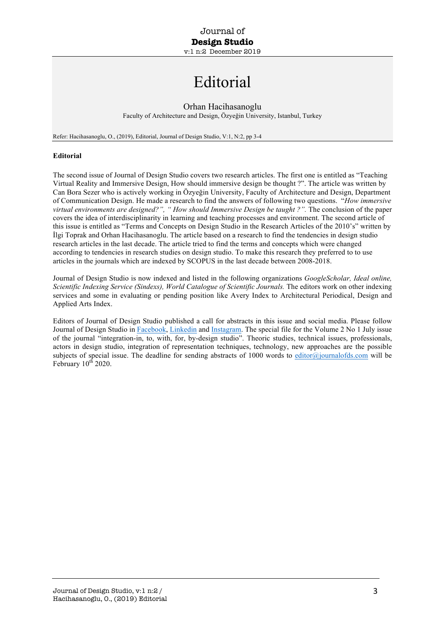## Editorial

## Orhan Hacihasanoglu

Faculty of Architecture and Design, Özyeğin University, Istanbul, Turkey

Refer: Hacihasanoglu, O., (2019), Editorial, Journal of Design Studio, V:1, N:2, pp 3-4

## **Editorial**

The second issue of Journal of Design Studio covers two research articles. The first one is entitled as "Teaching Virtual Reality and Immersive Design, How should immersive design be thought ?". The article was written by Can Bora Sezer who is actively working in Özyeğin University, Faculty of Architecture and Design, Department of Communication Design. He made a research to find the answers of following two questions. "*How immersive virtual environments are designed?", " How should Immersive Design be taught ?".* The conclusion of the paper covers the idea of interdisciplinarity in learning and teaching processes and environment. The second article of this issue is entitled as "Terms and Concepts on Design Studio in the Research Articles of the 2010's" written by İlgi Toprak and Orhan Hacihasanoglu. The article based on a research to find the tendencies in design studio research articles in the last decade. The article tried to find the terms and concepts which were changed according to tendencies in research studies on design studio. To make this research they preferred to to use articles in the journals which are indexed by SCOPUS in the last decade between 2008-2018.

Journal of Design Studio is now indexed and listed in the following organizations *GoogleScholar, Ideal online, Scientific Indexing Service (Sindexs), World Catalogue of Scientific Journals.* The editors work on other indexing services and some in evaluating or pending position like Avery Index to Architectural Periodical, Design and Applied Arts Index.

Editors of Journal of Design Studio published a call for abstracts in this issue and social media. Please follow Journal of Design Studio in Facebook, Linkedin and Instagram. The special file for the Volume 2 No 1 July issue of the journal "integration-in, to, with, for, by-design studio". Theoric studies, technical issues, professionals, actors in design studio, integration of representation techniques, technology, new approaches are the possible subjects of special issue. The deadline for sending abstracts of 1000 words to editor@journalofds.com will be February  $10^{th}$  2020.